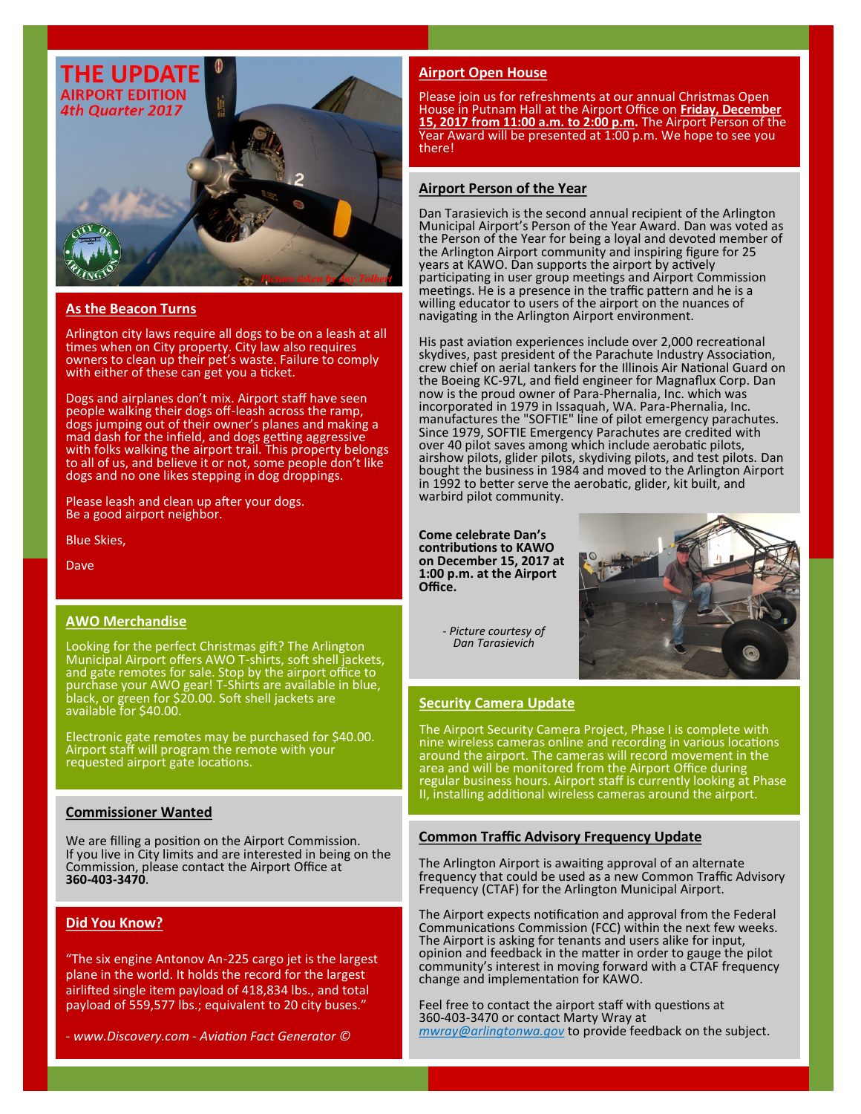

# **As the Beacon Turns**

Arlington city laws require all dogs to be on a leash at all times when on City property. City law also requires owners to clean up their pet's waste. Failure to comply with either of these can get you a ticket.

Dogs and airplanes don't mix. Airport staff have seen people walking their dogs off-leash across the ramp, dogs jumping out of their owner's planes and making a mad dash for the infield, and dogs getting aggressive with folks walking the airport trail. This property belongs to all of us, and believe it or not, some people don't like dogs and no one likes stepping in dog droppings.

Please leash and clean up after your dogs. Be a good airport neighbor.

Blue Skies,

Dave

### **AWO Merchandise**

Looking for the perfect Christmas gift? The Arlington Municipal Airport offers AWO T-shirts, soft shell jackets, and gate remotes for sale. Stop by the airport office to purchase your AWO gear! T-Shirts are available in blue, black, or green for \$20.00. Soft shell jackets are available for \$40.00.

Electronic gate remotes may be purchased for \$40.00. Airport staff will program the remote with your requested airport gate locations.

### **Commissioner Wanted**

We are filling a position on the Airport Commission. If you live in City limits and are interested in being on the Commission, please contact the Airport Office at **360-403-3470**.

## **Did You Know?**

"The six engine Antonov An-225 cargo jet is the largest plane in the world. It holds the record for the largest airlifted single item payload of 418,834 lbs., and total payload of 559,577 lbs.; equivalent to 20 city buses."

*- www.Discovery.com - Aviation Fact Generator ©*

#### **Airport Open House**

Please join us for refreshments at our annual Christmas Open House in Putnam Hall at the Airport Office on **Friday, December 15, 2017 from 11:00 a.m. to 2:00 p.m.** The Airport Person of the Year Award will be presented at 1:00 p.m. We hope to see you there!

### **Airport Person of the Year**

Dan Tarasievich is the second annual recipient of the Arlington Municipal Airport's Person of the Year Award. Dan was voted as the Person of the Year for being a loyal and devoted member of the Arlington Airport community and inspiring figure for 25 years at KAWO. Dan supports the airport by actively participating in user group meetings and Airport Commission meetings. He is a presence in the traffic pattern and he is a willing educator to users of the airport on the nuances of navigating in the Arlington Airport environment.

His past aviation experiences include over 2,000 recreational skydives, past president of the Parachute Industry Association, crew chief on aerial tankers for the Illinois Air National Guard on the Boeing KC-97L, and field engineer for Magnaflux Corp. Dan now is the proud owner of Para-Phernalia, Inc. which was incorporated in 1979 in Issaquah, WA. Para-Phernalia, Inc. manufactures the "SOFTIE" line of pilot emergency parachutes. Since 1979, SOFTIE Emergency Parachutes are credited with over 40 pilot saves among which include aerobatic pilots, airshow pilots, glider pilots, skydiving pilots, and test pilots. Dan bought the business in 1984 and moved to the Arlington Airport in 1992 to better serve the aerobatic, glider, kit built, and warbird pilot community.

**Come celebrate Dan's contributions to KAWO on December 15, 2017 at 1:00 p.m. at the Airport Office.**



*- Picture courtesy of Dan Tarasievich*

#### **Security Camera Update**

The Airport Security Camera Project, Phase I is complete with nine wireless cameras online and recording in various locations around the airport. The cameras will record movement in the area and will be monitored from the Airport Office during regular business hours. Airport staff is currently looking at Phase II, installing additional wireless cameras around the airport.

#### **Common Traffic Advisory Frequency Update**

The Arlington Airport is awaiting approval of an alternate frequency that could be used as a new Common Traffic Advisory Frequency (CTAF) for the Arlington Municipal Airport.

The Airport expects notification and approval from the Federal Communications Commission (FCC) within the next few weeks. The Airport is asking for tenants and users alike for input, opinion and feedback in the matter in order to gauge the pilot community's interest in moving forward with a CTAF frequency change and implementation for KAWO.

Feel free to contact the airport staff with questions at 360-403-3470 or contact Marty Wray at *mwray@arlingtonwa.gov* to provide feedback on the subject.